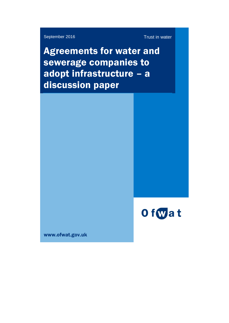September 2016 Trust in water

Agreements for water and sewerage companies to adopt infrastructure – a discussion paper



www.ofwat.gov.uk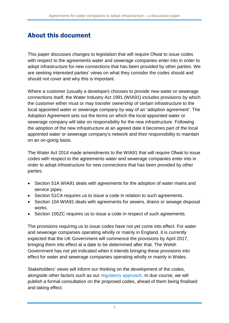## About this document

This paper discusses changes to legislation that will require Ofwat to issue codes with respect to the agreements water and sewerage companies enter into in order to adopt infrastructure for new connections that has been provided by other parties. We are seeking interested parties' views on what they consider the codes should and should not cover and why this is important.

Where a customer (usually a developer) chooses to provide new water or sewerage connections itself, the Water Industry Act 1991 (WIA91) includes provisions by which the customer either must or may transfer ownership of certain infrastructure to the local appointed water or sewerage company by way of an 'adoption agreement'. The Adoption Agreement sets out the terms on which the local appointed water or sewerage company will take on responsibility for the new infrastructure. Following the adoption of the new infrastructure at an agreed date it becomes part of the local appointed water or sewerage company's network and their responsibility to maintain on an on-going basis.

The Water Act 2014 made amendments to the WIA91 that will require Ofwat to issue codes with respect to the agreements water and sewerage companies enter into in order to adopt infrastructure for new connections that has been provided by other parties.

- Section 51A WIA91 deals with agreements for the adoption of water mains and service pipes.
- Section 51CA requires us to issue a code in relation to such agreements.
- Section 104 WIA91 deals with agreements for sewers, drains or sewage disposal works.
- Section 105ZC requires us to issue a code in respect of such agreements.

The provisions requiring us to issue codes have not yet come into effect. For water and sewerage companies operating wholly or mainly in England, it is currently expected that the UK Government will commence the provisions by April 2017, bringing them into effect at a date to be determined after that. The Welsh Government has not yet indicated when it intends bringing these provisions into effect for water and sewerage companies operating wholly or mainly in Wales.

Stakeholders' views will inform our thinking on the development of the codes, alongside other factors such as our [regulatory approach.](http://www.ofwat.gov.uk/about-us/vision/) In due course, we will publish a formal consultation on the proposed codes, ahead of them being finalised and taking effect.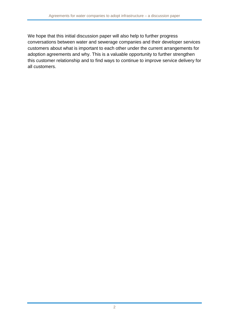We hope that this initial discussion paper will also help to further progress conversations between water and sewerage companies and their developer services customers about what is important to each other under the current arrangements for adoption agreements and why. This is a valuable opportunity to further strengthen this customer relationship and to find ways to continue to improve service delivery for all customers.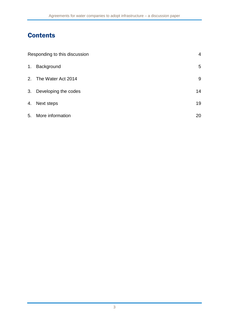# **Contents**

| Responding to this discussion |                       | 4  |
|-------------------------------|-----------------------|----|
| 1.                            | Background            | 5  |
|                               | 2. The Water Act 2014 | 9  |
| 3.                            | Developing the codes  | 14 |
|                               | 4. Next steps         | 19 |
|                               | 5. More information   | 20 |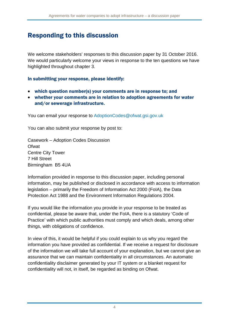## Responding to this discussion

We welcome stakeholders' responses to this discussion paper by 31 October 2016. We would particularly welcome your views in response to the ten questions we have highlighted throughout chapter 3.

#### In submitting your response, please identify:

- which question number(s) your comments are in response to; and
- whether your comments are in relation to adoption agreements for water and/or sewerage infrastructure.

You can email your response to [AdoptionCodes@ofwat.gsi.gov.uk](mailto:AdoptionCodes@ofwat.gsi.gov.uk)

You can also submit your response by post to:

Casework – Adoption Codes Discussion **Ofwat** Centre City Tower 7 Hill Street Birmingham B5 4UA

Information provided in response to this discussion paper, including personal information, may be published or disclosed in accordance with access to information legislation – primarily the Freedom of Information Act 2000 (FoIA), the Data Protection Act 1988 and the Environment Information Regulations 2004.

If you would like the information you provide in your response to be treated as confidential, please be aware that, under the FoIA, there is a statutory 'Code of Practice' with which public authorities must comply and which deals, among other things, with obligations of confidence.

In view of this, it would be helpful if you could explain to us why you regard the information you have provided as confidential. If we receive a request for disclosure of the information we will take full account of your explanation, but we cannot give an assurance that we can maintain confidentiality in all circumstances. An automatic confidentiality disclaimer generated by your IT system or a blanket request for confidentiality will not, in itself, be regarded as binding on Ofwat.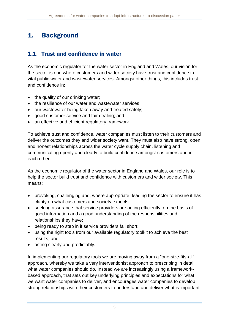# 1. Background

### 1.1 Trust and confidence in water

As the economic regulator for the water sector in England and Wales, our vision for the sector is one where customers and wider society have trust and confidence in vital public water and wastewater services. Amongst other things, this includes trust and confidence in:

- the quality of our drinking water;
- the resilience of our water and wastewater services:
- our wastewater being taken away and treated safely;
- good customer service and fair dealing; and
- an effective and efficient regulatory framework.

To achieve trust and confidence, water companies must listen to their customers and deliver the outcomes they and wider society want. They must also have strong, open and honest relationships across the water cycle supply chain, listening and communicating openly and clearly to build confidence amongst customers and in each other.

As the economic regulator of the water sector in England and Wales, our role is to help the sector build trust and confidence with customers and wider society. This means:

- provoking, challenging and, where appropriate, leading the sector to ensure it has clarity on what customers and society expects;
- seeking assurance that service providers are acting efficiently, on the basis of good information and a good understanding of the responsibilities and relationships they have;
- being ready to step in if service providers fall short;
- using the right tools from our available regulatory toolkit to achieve the best results; and
- acting clearly and predictably.

In implementing our regulatory tools we are moving away from a "one-size-fits-all" approach, whereby we take a very interventionist approach to prescribing in detail what water companies should do. Instead we are increasingly using a frameworkbased approach, that sets out key underlying principles and expectations for what we want water companies to deliver, and encourages water companies to develop strong relationships with their customers to understand and deliver what is important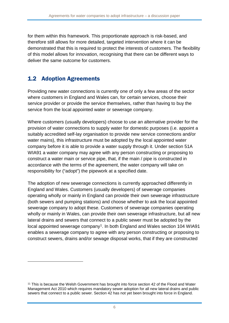for them within this framework. This proportionate approach is risk-based, and therefore still allows for more detailed, targeted intervention where it can be demonstrated that this is required to protect the interests of customers. The flexibility of this model allows for innovation, recognising that there can be different ways to deliver the same outcome for customers.

## 1.2 Adoption Agreements

<u>.</u>

Providing new water connections is currently one of only a few areas of the sector where customers in England and Wales can, for certain services, choose their service provider or provide the service themselves, rather than having to buy the service from the local appointed water or sewerage company.

Where customers (usually developers) choose to use an alternative provider for the provision of water connections to supply water for domestic purposes (i.e. appoint a suitably accredited self-lay organisation to provide new service connections and/or water mains), this infrastructure must be adopted by the local appointed water company before it is able to provide a water supply through it. Under section 51A WIA91 a water company may agree with any person constructing or proposing to construct a water main or service pipe, that, if the main / pipe is constructed in accordance with the terms of the agreement, the water company will take on responsibility for ("adopt") the pipework at a specified date.

The adoption of new sewerage connections is currently approached differently in England and Wales. Customers (usually developers) of sewerage companies operating wholly or mainly in England can provide their own sewerage infrastructure (both sewers and pumping stations) and choose whether to ask the local appointed sewerage company to adopt these. Customers of sewerage companies operating wholly or mainly in Wales, can provide their own sewerage infrastructure, but all new lateral drains and sewers that connect to a public sewer must be adopted by the local appointed sewerage company<sup>[1](#page-6-0)</sup>. In both England and Wales section 104 WIA91 enables a sewerage company to agree with any person constructing or proposing to construct sewers, drains and/or sewage disposal works, that if they are constructed

<span id="page-6-0"></span><sup>&</sup>lt;sup>11</sup> This is because the Welsh Government has brought into force section 42 of the Flood and Water Management Act 2010 which requires mandatory sewer adoption for all new lateral drains and public sewers that connect to a public sewer. Section 42 has not yet been brought into force in England.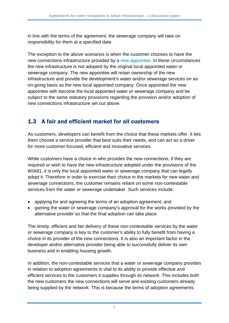in line with the terms of the agreement, the sewerage company will take on responsibility for them at a specified date.

The exception to the above scenarios is when the customer chooses to have the new connections infrastructure provided by a [new appointee.](http://www.ofwat.gov.uk/developers/choosing-a-supplier/) In these circumstances the new infrastructure is not adopted by the original local appointed water or sewerage company. The new appointee will retain ownership of the new infrastructure and provide the development's water and/or sewerage services on an on-going basis as the new local appointed company. Once appointed the new appointee with become the local appointed water or sewerage company and be subject to the same statutory provisions regarding the provision and/or adoption of new connections infrastructure set out above.

## 1.3 A fair and efficient market for all customers

As customers, developers can benefit from the choice that these markets offer. It lets them choose a service provider that best suits their needs, and can act as a driver for more customer-focused, efficient and innovative services.

While customers have a choice in who provides the new connections, if they are required or wish to have the new infrastructure adopted under the provisions of the WIA91, it is only the local appointed water or sewerage company that can legally adopt it. Therefore in order to exercise their choice in the markets for new water and sewerage connections, the customer remains reliant on some non-contestable services from the water or sewerage undertaker. Such services include:

- applying for and agreeing the terms of an adoption agreement; and
- gaining the water or sewerage company's approval for the works provided by the alternative provider so that the final adoption can take place.

The timely, efficient and fair delivery of these non-contestable services by the water or sewerage company is key to the customer's ability to fully benefit from having a choice in its provider of the new connections. It is also an important factor in the developer and/or alternative provider being able to successfully deliver its own business and in enabling housing growth.

In addition, the non-contestable services that a water or sewerage company provides in relation to adoption agreements is vital to its ability to provide effective and efficient services to the customers it supplies through its network. This includes both the new customers the new connections will serve and existing customers already being supplied by the network. This is because the terms of adoption agreements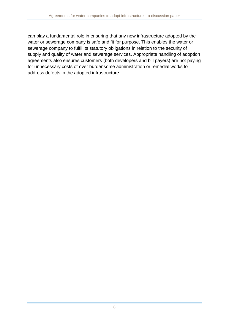can play a fundamental role in ensuring that any new infrastructure adopted by the water or sewerage company is safe and fit for purpose. This enables the water or sewerage company to fulfil its statutory obligations in relation to the security of supply and quality of water and sewerage services. Appropriate handling of adoption agreements also ensures customers (both developers and bill payers) are not paying for unnecessary costs of over burdensome administration or remedial works to address defects in the adopted infrastructure.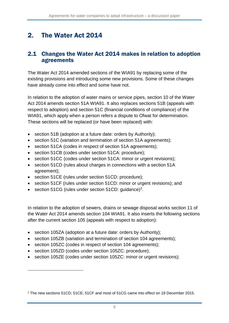# 2. The Water Act 2014

#### 2.1 Changes the Water Act 2014 makes in relation to adoption agreements

The Water Act 2014 amended sections of the WIA91 by replacing some of the existing provisions and introducing some new provisions. Some of these changes have already come into effect and some have not.

In relation to the adoption of water mains or service pipes, section 10 of the Water Act 2014 amends section 51A WIA91. It also replaces sections 51B (appeals with respect to adoption) and section 51C (financial conditions of compliance) of the WIA91, which apply when a person refers a dispute to Ofwat for determination. These sections will be replaced (or have been replaced) with:

- section 51B (adoption at a future date: orders by Authority);
- section 51C (variation and termination of section 51A agreements);
- section 51CA (codes in respect of section 51A agreements);
- section 51CB (codes under section 51CA: procedure);
- section 51CC (codes under section 51CA: minor or urgent revisions);
- section 51CD (rules about charges in connections with a section 51A agreement);
- section 51CE (rules under section 51CD: procedure);
- section 51CF (rules under section 51CD: minor or urgent revisions); and
- section 51CG (rules under section 51CD: guidance)<sup>2</sup>.

In relation to the adoption of sewers, drains or sewage disposal works section 11 of the Water Act 2014 amends section 104 WIA91. It also inserts the following sections after the current section 105 (appeals with respect to adoption):

- section 105ZA (adoption at a future date: orders by Authority);
- section 105ZB (variation and termination of section 104 agreements);
- section 105ZC (codes in respect of section 104 agreements);
- section 105ZD (codes under section 105ZC: procedure);

-

• section 105ZE (codes under section 105ZC: minor or urgent revisions);

<span id="page-9-0"></span><sup>2</sup> The new sections 51CD; 51CE; 51CF and most of 51CG came into effect on 18 December 2015.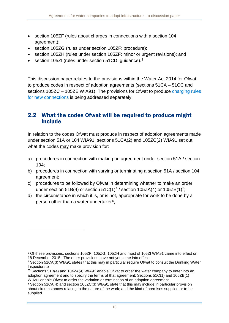- <span id="page-10-2"></span>• section 105ZF (rules about charges in connections with a section 104 agreement);
- section 105ZG (rules under section 105ZF: procedure);
- section 105ZH (rules under section 105ZF: minor or urgent revisions); and
- section 105ZI (rules under section 51CD: guidance).<sup>[3](#page-10-0)</sup>

This discussion paper relates to the provisions within the Water Act 2014 for Ofwat to produce codes in respect of adoption agreements (sections 51CA – 51CC and sections 105ZC – 105ZE WIA91). The provisions for Ofwat to produce [charging](http://www.ofwat.gov.uk/consultation/new-connections-charging-consultation/) rules for new [connections](http://www.ofwat.gov.uk/consultation/new-connections-charging-consultation/) is being addressed separately.

#### <span id="page-10-4"></span>2.2 What the codes Ofwat will be required to produce might include

In relation to the codes Ofwat must produce in respect of adoption agreements made under section 51A or 104 WIA91, sections 51CA(2) and 105ZC(2) WIA91 set out what the codes may make provision for:

- a) procedures in connection with making an agreement under section 51A / section 104;
- b) procedures in connection with varying or terminating a section 51A / section 104 agreement;
- c) procedures to be followed by Ofwat in determining whether to make an order under section 51B([4](#page-10-1)) or section  $51C(1)^4$  / section  $105ZA(4)$  or  $105ZB(1)^5$ ;
- d) the circumstance in which it is, or is not, appropriate for work to be done by a person other than a water undertaker<sup>6</sup>;

-

<span id="page-10-0"></span><sup>3</sup> Of these provisions, sections 105ZF; 105ZG; 105ZH and most of 105ZI WIA91 came into effect on 18 December 2015. The other provisions have not yet come into effect.

<span id="page-10-1"></span><sup>4</sup> Section 51CA(3) WIA91 states that this may in particular require Ofwat to consult the Drinking Water Inspectorate

<sup>55</sup> Sections 51B(4) and 104ZA(4) WIA91 enable Ofwat to order the water company to enter into an adoption agreement and to specify the terms of that agreement; Sections 51C(1) and 105ZB(1) WIA91 enable Ofwat to order the variation or termination of an adoption agreement.

<span id="page-10-3"></span><sup>6</sup> Section 51CA(4) and section 105ZC(3) WIA91 state that this may include in particular provision about circumstances relating to the nature of the work; and the kind of premises supplied or to be supplied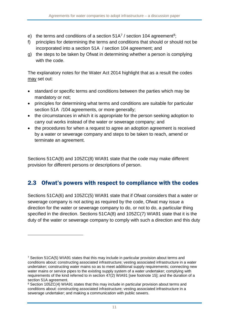- <span id="page-11-1"></span>e) the terms and conditions of a section  $51A<sup>7</sup>$  $51A<sup>7</sup>$  $51A<sup>7</sup>$  / section 104 agreement<sup>8</sup>;
- f) principles for determining the terms and conditions that should or should not be incorporated into a section 51A / section 104 agreement; and
- g) the steps to be taken by Ofwat in determining whether a person is complying with the code.

The explanatory notes for the Water Act 2014 highlight that as a result the codes may set out:

- standard or specific terms and conditions between the parties which may be mandatory or not;
- principles for determining what terms and conditions are suitable for particular section 51A /104 agreements, or more generally;
- the circumstances in which it is appropriate for the person seeking adoption to carry out works instead of the water or sewerage company; and
- the procedures for when a request to agree an adoption agreement is received by a water or sewerage company and steps to be taken to reach, amend or terminate an agreement.

Sections 51CA(9) and 105ZC(8) WIA91 state that the code may make different provision for different persons or descriptions of person.

### 2.3 Ofwat's powers with respect to compliance with the codes

Sections 51CA(6) and 105ZC(5) WIA91 state that if Ofwat considers that a water or sewerage company is not acting as required by the code, Ofwat may issue a direction for the water or sewerage company to do, or not to do, a particular thing specified in the direction. Sections 51CA(8) and 105ZC(7) WIA91 state that it is the duty of the water or sewerage company to comply with such a direction and this duty

<u>.</u>

<span id="page-11-0"></span><sup>7</sup> Section 51CA(5) WIA91 states that this may include in particular provision about terms and conditions about: constructing associated infrastructure; vesting associated infrastructure in a water undertaker; constructing water mains so as to meet additional supply requirements; connecting new water mains or service pipes to the existing supply system of a water undertaker; complying with requirements of the kind referred to in section 47(2) WIA91 [see footnote [15\]](#page-17-0); and the duration of a section 51A agreement.

<sup>&</sup>lt;sup>8</sup> Section 105ZC(4) WIA91 states that this may include in particular provision about terms and conditions about: constructing associated infrastructure; vesting associated infrastructure in a sewerage undertaker; and making a communication with public sewers.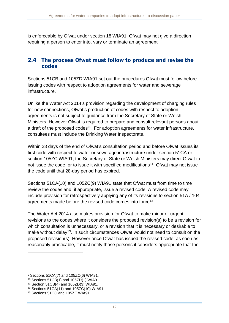is enforceable by Ofwat under section 18 WIA91. Ofwat may not give a direction requiring a person to enter into, vary or terminate an agreement<sup>9</sup>.

#### 2.4 The process Ofwat must follow to produce and revise the codes

Sections 51CB and 105ZD WIA91 set out the procedures Ofwat must follow before issuing codes with respect to adoption agreements for water and sewerage infrastructure.

Unlike the Water Act 2014's provision regarding the development of charging rules for new connections, Ofwat's production of codes with respect to adoption agreements is not subject to guidance from the Secretary of State or Welsh Ministers. However Ofwat is required to prepare and consult relevant persons about a draft of the proposed codes<sup>[10](#page-12-1)</sup>. For adoption agreements for water infrastructure, consultees must include the Drinking Water Inspectorate.

Within 28 days of the end of Ofwat's consultation period and before Ofwat issues its first code with respect to water or sewerage infrastructure under section 51CA or section 105ZC WIA91, the Secretary of State or Welsh Ministers may direct Ofwat to not issue the code, or to issue it with specified modifications<sup>[11](#page-12-2)</sup>. Ofwat may not issue the code until that 28-day period has expired.

Sections 51CA(10) and 105ZC(9) WIA91 state that Ofwat must from time to time review the codes and, if appropriate, issue a revised code. A revised code may include provision for retrospectively applying any of its revisions to section 51A / 104 agreements made before the revised code comes into force<sup>[12](#page-12-3)</sup>.

The Water Act 2014 also makes provision for Ofwat to make minor or urgent revisions to the codes where it considers the proposed revision(s) to be a revision for which consultation is unnecessary, or a revision that it is necessary or desirable to make without delay<sup>[13](#page-12-4)</sup>. In such circumstances Ofwat would not need to consult on the proposed revision(s). However once Ofwat has issued the revised code, as soon as reasonably practicable, it must notify those persons it considers appropriate that the

<u>.</u>

<span id="page-12-0"></span> $9$  Sections 51CA(7) and 105ZC(6) WIA91.

<span id="page-12-1"></span><sup>10</sup> Sections 51CB(1) and 105ZD(1) WIA91.

<sup>11</sup> Section 51CB(4) and 105ZD(3) WIA91.

<span id="page-12-3"></span><span id="page-12-2"></span><sup>12</sup> Sections 51CA(11) and 105ZC(10) WIA91.

<span id="page-12-4"></span><sup>13</sup> Sections 51CC and 105ZE WIA91.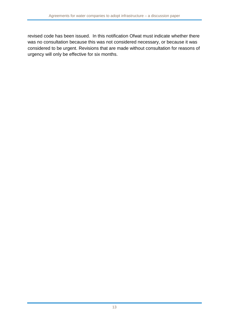revised code has been issued. In this notification Ofwat must indicate whether there was no consultation because this was not considered necessary, or because it was considered to be urgent. Revisions that are made without consultation for reasons of urgency will only be effective for six months.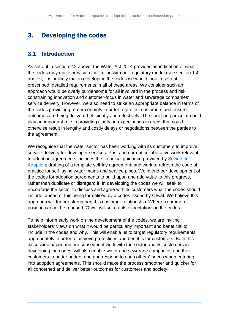# 3. Developing the codes

## 3.1 Introduction

As set out in section [2.2](#page-10-4) above, the Water Act 2014 provides an indication of what the codes may make provision for. In line with our regulatory model (see section 1.4 above), it is unlikely that in developing the codes we would look to set out prescribed, detailed requirements in all of these areas. We consider such an approach would be overly burdensome for all involved in the process and risk constraining innovation and customer-focus in water and sewerage companies' service delivery. However, we also need to strike an appropriate balance in terms of the codes providing greater certainty in order to protect customers and ensure outcomes are being delivered efficiently and effectively. The codes in particular could play an important role in providing clarity on expectations in areas that could otherwise result in lengthy and costly delays or negotiations between the parties to the agreement.

We recognise that the water sector has been working with its customers to improve service delivery for developer services. Past and current collaborative work relevant to adoption agreements includes the technical guidance provided by [Sewers for](http://sfa.wrcplc.co.uk/)  [Adoption;](http://sfa.wrcplc.co.uk/) drafting of a template self-lay agreement; and work to refresh the code of practice for self-laying water mains and service pipes. We intend our development of the codes for adoption agreements to build upon and add value to this progress, rather than duplicate or disregard it. In developing the codes we will seek to encourage the sector to discuss and agree with its customers what the codes should include, ahead of this being formalised by a codes issued by Ofwat. We believe this approach will further strengthen this customer relationship. Where a common position cannot be reached, Ofwat will set out its expectations in the codes.

To help inform early work on the development of the codes, we are inviting stakeholders' views on what it would be particularly important and beneficial to include in the codes and why. This will enable us to target regulatory requirements appropriately in order to achieve protections and benefits for customers. Both this discussion paper and our subsequent work with the sector and its customers in developing the codes, will also enable water and sewerage companies and their customers to better understand and respond to each others' needs when entering into adoption agreements. This should make the process smoother and quicker for all concerned and deliver better outcomes for customers and society.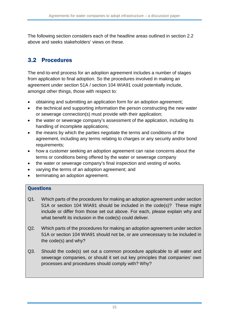The following section considers each of the headline areas outlined in section [2.2](#page-10-4) above and seeks stakeholders' views on these.

## 3.2 Procedures

The end-to-end process for an adoption agreement includes a number of stages from application to final adoption. So the procedures involved in making an agreement under section 51A / section 104 WIA91 could potentially include, amongst other things, those with respect to:

- obtaining and submitting an application form for an adoption agreement;
- the technical and supporting information the person constructing the new water or sewerage connection(s) must provide with their application;
- the water or sewerage company's assessment of the application, including its handling of incomplete applications;
- the means by which the parties negotiate the terms and conditions of the agreement, including any terms relating to charges or any security and/or bond requirements;
- how a customer seeking an adoption agreement can raise concerns about the terms or conditions being offered by the water or sewerage company
- the water or sewerage company's final inspection and vesting of works.
- varying the terms of an adoption agreement; and
- terminating an adoption agreement.

#### **Questions**

- Q1. Which parts of the procedures for making an adoption agreement under section 51A or section 104 WIA91 should be included in the code(s)? These might include or differ from those set out above. For each, please explain why and what benefit its inclusion in the code(s) could deliver.
- Q2. Which parts of the procedures for making an adoption agreement under section 51A or section 104 WIA91 should not be, or are unnecessary to be included in the code(s) and why?
- Q3. Should the code(s) set out a common procedure applicable to all water and sewerage companies, or should it set out key principles that companies' own processes and procedures should comply with? Why?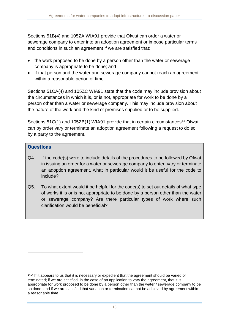Sections 51B(4) and 105ZA WIA91 provide that Ofwat can order a water or sewerage company to enter into an adoption agreement or impose particular terms and conditions in such an agreement if we are satisfied that:

- the work proposed to be done by a person other than the water or sewerage company is appropriate to be done; and
- if that person and the water and sewerage company cannot reach an agreement within a reasonable period of time.

Sections 51CA(4) and 105ZC WIA91 state that the code may include provision about the circumstances in which it is, or is not, appropriate for work to be done by a person other than a water or sewerage company. This may include provision about the nature of the work and the kind of premises supplied or to be supplied.

Sections  $51C(1)$  and  $105ZB(1)$  WIA91 provide that in certain circumstances<sup>[14](#page-16-0)</sup> Ofwat can by order vary or terminate an adoption agreement following a request to do so by a party to the agreement.

#### **Questions**

<u>.</u>

- Q4. If the code(s) were to include details of the procedures to be followed by Ofwat in issuing an order for a water or sewerage company to enter, vary or terminate an adoption agreement, what in particular would it be useful for the code to include?
- Q5. To what extent would it be helpful for the code(s) to set out details of what type of works it is or is not appropriate to be done by a person other than the water or sewerage company? Are there particular types of work where such clarification would be beneficial?

<span id="page-16-0"></span><sup>1414</sup> If it appears to us that it is necessary or expedient that the agreement should be varied or terminated; if we are satisfied, in the case of an application to vary the agreement, that it is appropriate for work proposed to be done by a person other than the water / sewerage company to be so done; and if we are satisfied that variation or termination cannot be achieved by agreement within a reasonable time.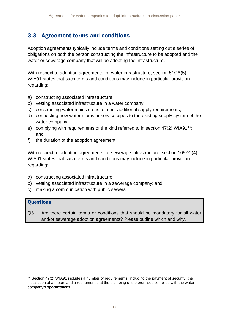### 3.3 Agreement terms and conditions

Adoption agreements typically include terms and conditions setting out a series of obligations on both the person constructing the infrastructure to be adopted and the water or sewerage company that will be adopting the infrastructure.

With respect to adoption agreements for water infrastructure, section 51CA(5) WIA91 states that such terms and conditions may include in particular provision regarding:

- a) constructing associated infrastructure;
- b) vesting associated infrastructure in a water company;
- c) constructing water mains so as to meet additional supply requirements;
- d) connecting new water mains or service pipes to the existing supply system of the water company;
- <span id="page-17-0"></span>e) complying with requirements of the kind referred to in section 47(2) WIA91<sup>15</sup>; and
- f) the duration of the adoption agreement.

With respect to adoption agreements for sewerage infrastructure, section 105ZC(4) WIA91 states that such terms and conditions may include in particular provision regarding:

- a) constructing associated infrastructure;
- b) vesting associated infrastructure in a sewerage company; and
- c) making a communication with public sewers.

#### **Questions**

<u>.</u>

Q6. Are there certain terms or conditions that should be mandatory for all water and/or sewerage adoption agreements? Please outline which and why.

<span id="page-17-1"></span><sup>15</sup> Section 47(2) WIA91 includes a number of requirements, including the payment of security; the installation of a meter; and a reqirement that the plumbing of the premises complies with the water company's specifications.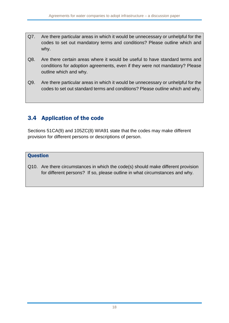- Q7. Are there particular areas in which it would be unnecessary or unhelpful for the codes to set out mandatory terms and conditions? Please outline which and why.
- Q8. Are there certain areas where it would be useful to have standard terms and conditions for adoption agreements, even if they were not mandatory? Please outline which and why.
- Q9. Are there particular areas in which it would be unnecessary or unhelpful for the codes to set out standard terms and conditions? Please outline which and why.

### 3.4 Application of the code

Sections 51CA(9) and 105ZC(8) WIA91 state that the codes may make different provision for different persons or descriptions of person.

#### **Question**

Q10. Are there circumstances in which the code(s) should make different provision for different persons? If so, please outline in what circumstances and why.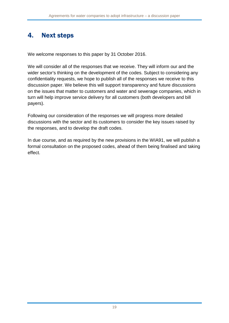## 4. Next steps

We welcome responses to this paper by 31 October 2016.

We will consider all of the responses that we receive. They will inform our and the wider sector's thinking on the development of the codes. Subject to considering any confidentiality requests, we hope to publish all of the responses we receive to this discussion paper. We believe this will support transparency and future discussions on the issues that matter to customers and water and sewerage companies, which in turn will help improve service delivery for all customers (both developers and bill payers).

Following our consideration of the responses we will progress more detailed discussions with the sector and its customers to consider the key issues raised by the responses, and to develop the draft codes.

In due course, and as required by the new provisions in the WIA91, we will publish a formal consultation on the proposed codes, ahead of them being finalised and taking effect.